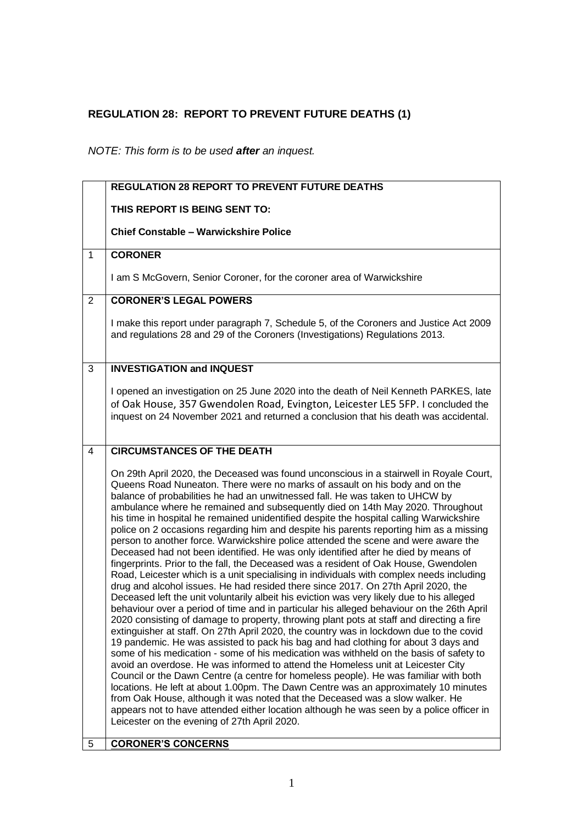## **REGULATION 28: REPORT TO PREVENT FUTURE DEATHS (1)**

*NOTE: This form is to be used after an inquest.*

|                | <b>REGULATION 28 REPORT TO PREVENT FUTURE DEATHS</b>                                                                                                                                                                                                                                                                                                                                                                                                                                                                                                                                                                                                                                                                                                                                                                                                                                                                                                                                                                                                                                                                                                                                                                                                                                                                                                                                                                                                                                                                                                                                                                                                                                                                                                                                                                                                                                                                                                                                                                                                                            |
|----------------|---------------------------------------------------------------------------------------------------------------------------------------------------------------------------------------------------------------------------------------------------------------------------------------------------------------------------------------------------------------------------------------------------------------------------------------------------------------------------------------------------------------------------------------------------------------------------------------------------------------------------------------------------------------------------------------------------------------------------------------------------------------------------------------------------------------------------------------------------------------------------------------------------------------------------------------------------------------------------------------------------------------------------------------------------------------------------------------------------------------------------------------------------------------------------------------------------------------------------------------------------------------------------------------------------------------------------------------------------------------------------------------------------------------------------------------------------------------------------------------------------------------------------------------------------------------------------------------------------------------------------------------------------------------------------------------------------------------------------------------------------------------------------------------------------------------------------------------------------------------------------------------------------------------------------------------------------------------------------------------------------------------------------------------------------------------------------------|
|                | THIS REPORT IS BEING SENT TO:                                                                                                                                                                                                                                                                                                                                                                                                                                                                                                                                                                                                                                                                                                                                                                                                                                                                                                                                                                                                                                                                                                                                                                                                                                                                                                                                                                                                                                                                                                                                                                                                                                                                                                                                                                                                                                                                                                                                                                                                                                                   |
|                | <b>Chief Constable - Warwickshire Police</b>                                                                                                                                                                                                                                                                                                                                                                                                                                                                                                                                                                                                                                                                                                                                                                                                                                                                                                                                                                                                                                                                                                                                                                                                                                                                                                                                                                                                                                                                                                                                                                                                                                                                                                                                                                                                                                                                                                                                                                                                                                    |
| $\mathbf{1}$   | <b>CORONER</b>                                                                                                                                                                                                                                                                                                                                                                                                                                                                                                                                                                                                                                                                                                                                                                                                                                                                                                                                                                                                                                                                                                                                                                                                                                                                                                                                                                                                                                                                                                                                                                                                                                                                                                                                                                                                                                                                                                                                                                                                                                                                  |
|                | I am S McGovern, Senior Coroner, for the coroner area of Warwickshire                                                                                                                                                                                                                                                                                                                                                                                                                                                                                                                                                                                                                                                                                                                                                                                                                                                                                                                                                                                                                                                                                                                                                                                                                                                                                                                                                                                                                                                                                                                                                                                                                                                                                                                                                                                                                                                                                                                                                                                                           |
| $\overline{2}$ | <b>CORONER'S LEGAL POWERS</b>                                                                                                                                                                                                                                                                                                                                                                                                                                                                                                                                                                                                                                                                                                                                                                                                                                                                                                                                                                                                                                                                                                                                                                                                                                                                                                                                                                                                                                                                                                                                                                                                                                                                                                                                                                                                                                                                                                                                                                                                                                                   |
|                | I make this report under paragraph 7, Schedule 5, of the Coroners and Justice Act 2009<br>and regulations 28 and 29 of the Coroners (Investigations) Regulations 2013.                                                                                                                                                                                                                                                                                                                                                                                                                                                                                                                                                                                                                                                                                                                                                                                                                                                                                                                                                                                                                                                                                                                                                                                                                                                                                                                                                                                                                                                                                                                                                                                                                                                                                                                                                                                                                                                                                                          |
| 3              | <b>INVESTIGATION and INQUEST</b>                                                                                                                                                                                                                                                                                                                                                                                                                                                                                                                                                                                                                                                                                                                                                                                                                                                                                                                                                                                                                                                                                                                                                                                                                                                                                                                                                                                                                                                                                                                                                                                                                                                                                                                                                                                                                                                                                                                                                                                                                                                |
|                | I opened an investigation on 25 June 2020 into the death of Neil Kenneth PARKES, late<br>of Oak House, 357 Gwendolen Road, Evington, Leicester LE5 5FP. I concluded the<br>inquest on 24 November 2021 and returned a conclusion that his death was accidental.                                                                                                                                                                                                                                                                                                                                                                                                                                                                                                                                                                                                                                                                                                                                                                                                                                                                                                                                                                                                                                                                                                                                                                                                                                                                                                                                                                                                                                                                                                                                                                                                                                                                                                                                                                                                                 |
| 4              | <b>CIRCUMSTANCES OF THE DEATH</b>                                                                                                                                                                                                                                                                                                                                                                                                                                                                                                                                                                                                                                                                                                                                                                                                                                                                                                                                                                                                                                                                                                                                                                                                                                                                                                                                                                                                                                                                                                                                                                                                                                                                                                                                                                                                                                                                                                                                                                                                                                               |
| 5              | On 29th April 2020, the Deceased was found unconscious in a stairwell in Royale Court,<br>Queens Road Nuneaton. There were no marks of assault on his body and on the<br>balance of probabilities he had an unwitnessed fall. He was taken to UHCW by<br>ambulance where he remained and subsequently died on 14th May 2020. Throughout<br>his time in hospital he remained unidentified despite the hospital calling Warwickshire<br>police on 2 occasions regarding him and despite his parents reporting him as a missing<br>person to another force. Warwickshire police attended the scene and were aware the<br>Deceased had not been identified. He was only identified after he died by means of<br>fingerprints. Prior to the fall, the Deceased was a resident of Oak House, Gwendolen<br>Road, Leicester which is a unit specialising in individuals with complex needs including<br>drug and alcohol issues. He had resided there since 2017. On 27th April 2020, the<br>Deceased left the unit voluntarily albeit his eviction was very likely due to his alleged<br>behaviour over a period of time and in particular his alleged behaviour on the 26th April<br>2020 consisting of damage to property, throwing plant pots at staff and directing a fire<br>extinguisher at staff. On 27th April 2020, the country was in lockdown due to the covid<br>19 pandemic. He was assisted to pack his bag and had clothing for about 3 days and<br>some of his medication - some of his medication was withheld on the basis of safety to<br>avoid an overdose. He was informed to attend the Homeless unit at Leicester City<br>Council or the Dawn Centre (a centre for homeless people). He was familiar with both<br>locations. He left at about 1.00pm. The Dawn Centre was an approximately 10 minutes<br>from Oak House, although it was noted that the Deceased was a slow walker. He<br>appears not to have attended either location although he was seen by a police officer in<br>Leicester on the evening of 27th April 2020.<br><b>CORONER'S CONCERNS</b> |